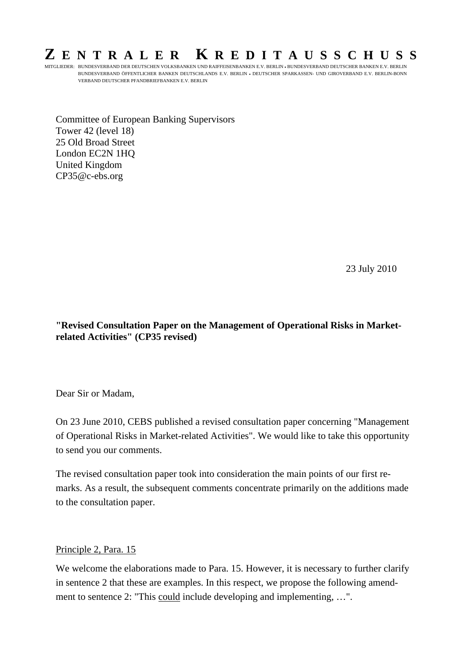## **Z ENTRALER K REDITAUSSCHUSS**

MITGLIEDER: BUNDESVERBAND DER DEUTSCHEN VOLKSBANKEN UND RAIFFEISENBANKEN E.V. BERLIN • BUNDESVERBAND DEUTSCHER BANKEN E.V. BERLIN BUNDESVERBAND ÖFFENTLICHER BANKEN DEUTSCHLANDS E.V. BERLIN • DEUTSCHER SPARKASSEN- UND GIROVERBAND E.V. BERLIN-BONN VERBAND DEUTSCHER PFANDBRIEFBANKEN E.V. BERLIN

Committee of European Banking Supervisors Tower 42 (level 18) 25 Old Broad Street London EC2N 1HQ United Kingdom CP35@c-ebs.org

23 July 2010

**"Revised Consultation Paper on the Management of Operational Risks in Marketrelated Activities" (CP35 revised)** 

Dear Sir or Madam,

On 23 June 2010, CEBS published a revised consultation paper concerning "Management of Operational Risks in Market-related Activities". We would like to take this opportunity to send you our comments.

The revised consultation paper took into consideration the main points of our first remarks. As a result, the subsequent comments concentrate primarily on the additions made to the consultation paper.

## Principle 2, Para. 15

We welcome the elaborations made to Para. 15. However, it is necessary to further clarify in sentence 2 that these are examples. In this respect, we propose the following amendment to sentence 2: "This could include developing and implementing, …".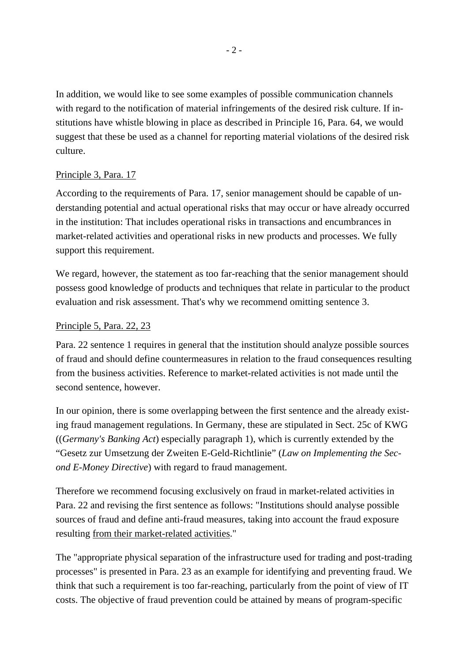In addition, we would like to see some examples of possible communication channels with regard to the notification of material infringements of the desired risk culture. If institutions have whistle blowing in place as described in Principle 16, Para. 64, we would suggest that these be used as a channel for reporting material violations of the desired risk culture.

## Principle 3, Para. 17

According to the requirements of Para. 17, senior management should be capable of understanding potential and actual operational risks that may occur or have already occurred in the institution: That includes operational risks in transactions and encumbrances in market-related activities and operational risks in new products and processes. We fully support this requirement.

We regard, however, the statement as too far-reaching that the senior management should possess good knowledge of products and techniques that relate in particular to the product evaluation and risk assessment. That's why we recommend omitting sentence 3.

## Principle 5, Para. 22, 23

Para. 22 sentence 1 requires in general that the institution should analyze possible sources of fraud and should define countermeasures in relation to the fraud consequences resulting from the business activities. Reference to market-related activities is not made until the second sentence, however.

In our opinion, there is some overlapping between the first sentence and the already existing fraud management regulations. In Germany, these are stipulated in Sect. 25c of KWG ((*Germany's Banking Act*) especially paragraph 1), which is currently extended by the "Gesetz zur Umsetzung der Zweiten E-Geld-Richtlinie" (*Law on Implementing the Second E-Money Directive*) with regard to fraud management.

Therefore we recommend focusing exclusively on fraud in market-related activities in Para. 22 and revising the first sentence as follows: "Institutions should analyse possible sources of fraud and define anti-fraud measures, taking into account the fraud exposure resulting from their market-related activities."

The "appropriate physical separation of the infrastructure used for trading and post-trading processes" is presented in Para. 23 as an example for identifying and preventing fraud. We think that such a requirement is too far-reaching, particularly from the point of view of IT costs. The objective of fraud prevention could be attained by means of program-specific